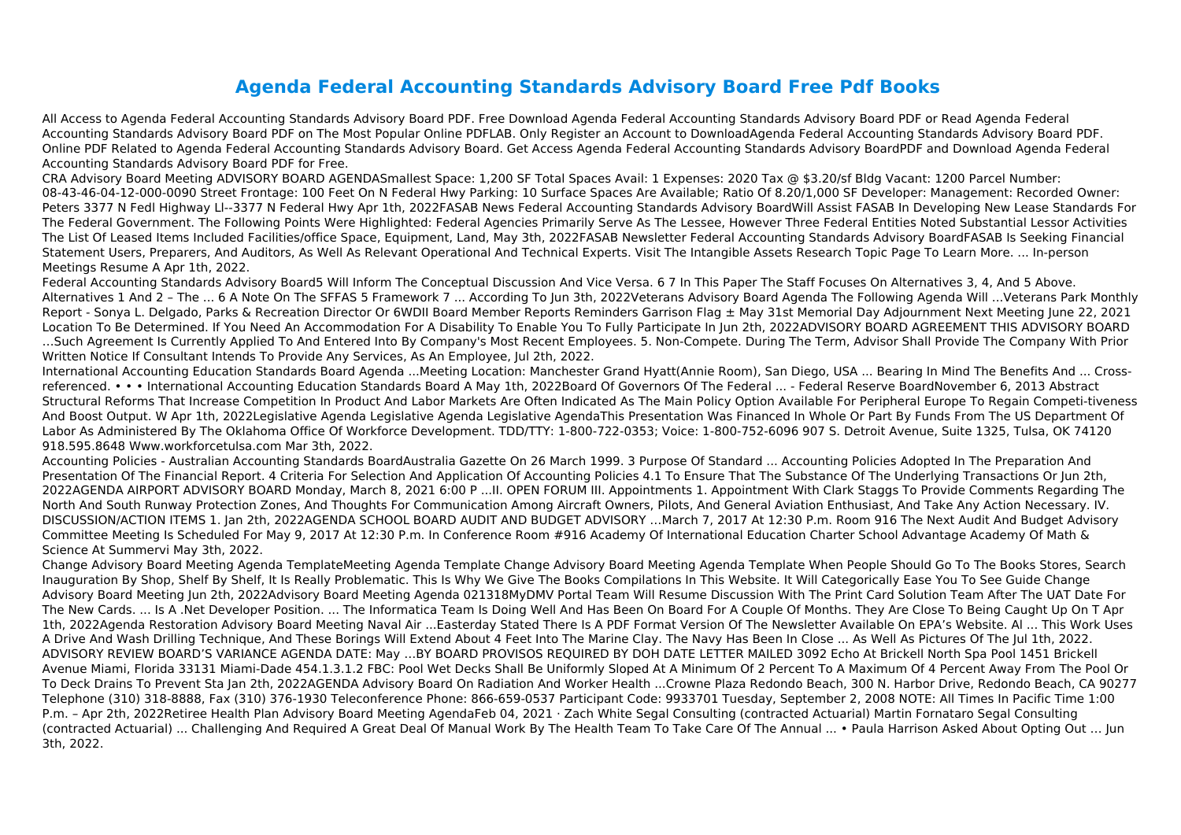## **Agenda Federal Accounting Standards Advisory Board Free Pdf Books**

All Access to Agenda Federal Accounting Standards Advisory Board PDF. Free Download Agenda Federal Accounting Standards Advisory Board PDF or Read Agenda Federal Accounting Standards Advisory Board PDF on The Most Popular Online PDFLAB. Only Register an Account to DownloadAgenda Federal Accounting Standards Advisory Board PDF. Online PDF Related to Agenda Federal Accounting Standards Advisory Board. Get Access Agenda Federal Accounting Standards Advisory BoardPDF and Download Agenda Federal Accounting Standards Advisory Board PDF for Free.

CRA Advisory Board Meeting ADVISORY BOARD AGENDASmallest Space: 1,200 SF Total Spaces Avail: 1 Expenses: 2020 Tax @ \$3.20/sf Bldg Vacant: 1200 Parcel Number: 08-43-46-04-12-000-0090 Street Frontage: 100 Feet On N Federal Hwy Parking: 10 Surface Spaces Are Available; Ratio Of 8.20/1,000 SF Developer: Management: Recorded Owner: Peters 3377 N Fedl Highway Ll--3377 N Federal Hwy Apr 1th, 2022FASAB News Federal Accounting Standards Advisory BoardWill Assist FASAB In Developing New Lease Standards For The Federal Government. The Following Points Were Highlighted: Federal Agencies Primarily Serve As The Lessee, However Three Federal Entities Noted Substantial Lessor Activities The List Of Leased Items Included Facilities/office Space, Equipment, Land, May 3th, 2022FASAB Newsletter Federal Accounting Standards Advisory BoardFASAB Is Seeking Financial Statement Users, Preparers, And Auditors, As Well As Relevant Operational And Technical Experts. Visit The Intangible Assets Research Topic Page To Learn More. ... In-person Meetings Resume A Apr 1th, 2022.

Federal Accounting Standards Advisory Board5 Will Inform The Conceptual Discussion And Vice Versa. 6 7 In This Paper The Staff Focuses On Alternatives 3, 4, And 5 Above. Alternatives 1 And 2 – The ... 6 A Note On The SFFAS 5 Framework 7 ... According To Jun 3th, 2022Veterans Advisory Board Agenda The Following Agenda Will ...Veterans Park Monthly Report - Sonya L. Delgado, Parks & Recreation Director Or 6WDII Board Member Reports Reminders Garrison Flag  $\pm$  May 31st Memorial Day Adjournment Next Meeting June 22, 2021 Location To Be Determined. If You Need An Accommodation For A Disability To Enable You To Fully Participate In Jun 2th, 2022ADVISORY BOARD AGREEMENT THIS ADVISORY BOARD …Such Agreement Is Currently Applied To And Entered Into By Company's Most Recent Employees. 5. Non-Compete. During The Term, Advisor Shall Provide The Company With Prior Written Notice If Consultant Intends To Provide Any Services, As An Employee, Jul 2th, 2022.

International Accounting Education Standards Board Agenda ...Meeting Location: Manchester Grand Hyatt(Annie Room), San Diego, USA ... Bearing In Mind The Benefits And ... Crossreferenced. • • • International Accounting Education Standards Board A May 1th, 2022Board Of Governors Of The Federal ... - Federal Reserve BoardNovember 6, 2013 Abstract Structural Reforms That Increase Competition In Product And Labor Markets Are Often Indicated As The Main Policy Option Available For Peripheral Europe To Regain Competi-tiveness And Boost Output. W Apr 1th, 2022Legislative Agenda Legislative Agenda Legislative AgendaThis Presentation Was Financed In Whole Or Part By Funds From The US Department Of Labor As Administered By The Oklahoma Office Of Workforce Development. TDD/TTY: 1-800-722-0353; Voice: 1-800-752-6096 907 S. Detroit Avenue, Suite 1325, Tulsa, OK 74120 918.595.8648 Www.workforcetulsa.com Mar 3th, 2022.

Accounting Policies - Australian Accounting Standards BoardAustralia Gazette On 26 March 1999. 3 Purpose Of Standard ... Accounting Policies Adopted In The Preparation And Presentation Of The Financial Report. 4 Criteria For Selection And Application Of Accounting Policies 4.1 To Ensure That The Substance Of The Underlying Transactions Or Jun 2th, 2022AGENDA AIRPORT ADVISORY BOARD Monday, March 8, 2021 6:00 P ...II. OPEN FORUM III. Appointments 1. Appointment With Clark Staggs To Provide Comments Regarding The North And South Runway Protection Zones, And Thoughts For Communication Among Aircraft Owners, Pilots, And General Aviation Enthusiast, And Take Any Action Necessary. IV. DISCUSSION/ACTION ITEMS 1. Jan 2th, 2022AGENDA SCHOOL BOARD AUDIT AND BUDGET ADVISORY …March 7, 2017 At 12:30 P.m. Room 916 The Next Audit And Budget Advisory Committee Meeting Is Scheduled For May 9, 2017 At 12:30 P.m. In Conference Room #916 Academy Of International Education Charter School Advantage Academy Of Math & Science At Summervi May 3th, 2022.

Change Advisory Board Meeting Agenda TemplateMeeting Agenda Template Change Advisory Board Meeting Agenda Template When People Should Go To The Books Stores, Search Inauguration By Shop, Shelf By Shelf, It Is Really Problematic. This Is Why We Give The Books Compilations In This Website. It Will Categorically Ease You To See Guide Change Advisory Board Meeting Jun 2th, 2022Advisory Board Meeting Agenda 021318MyDMV Portal Team Will Resume Discussion With The Print Card Solution Team After The UAT Date For The New Cards. ... Is A .Net Developer Position. ... The Informatica Team Is Doing Well And Has Been On Board For A Couple Of Months. They Are Close To Being Caught Up On T Apr 1th, 2022Agenda Restoration Advisory Board Meeting Naval Air ...Easterday Stated There Is A PDF Format Version Of The Newsletter Available On EPA's Website. Al ... This Work Uses A Drive And Wash Drilling Technique, And These Borings Will Extend About 4 Feet Into The Marine Clay. The Navy Has Been In Close ... As Well As Pictures Of The Jul 1th, 2022. ADVISORY REVIEW BOARD'S VARIANCE AGENDA DATE: May …BY BOARD PROVISOS REQUIRED BY DOH DATE LETTER MAILED 3092 Echo At Brickell North Spa Pool 1451 Brickell Avenue Miami, Florida 33131 Miami-Dade 454.1.3.1.2 FBC: Pool Wet Decks Shall Be Uniformly Sloped At A Minimum Of 2 Percent To A Maximum Of 4 Percent Away From The Pool Or To Deck Drains To Prevent Sta Jan 2th, 2022AGENDA Advisory Board On Radiation And Worker Health ...Crowne Plaza Redondo Beach, 300 N. Harbor Drive, Redondo Beach, CA 90277 Telephone (310) 318-8888, Fax (310) 376-1930 Teleconference Phone: 866-659-0537 Participant Code: 9933701 Tuesday, September 2, 2008 NOTE: All Times In Pacific Time 1:00 P.m. – Apr 2th, 2022Retiree Health Plan Advisory Board Meeting AgendaFeb 04, 2021 · Zach White Segal Consulting (contracted Actuarial) Martin Fornataro Segal Consulting (contracted Actuarial) ... Challenging And Required A Great Deal Of Manual Work By The Health Team To Take Care Of The Annual ... • Paula Harrison Asked About Opting Out … Jun 3th, 2022.